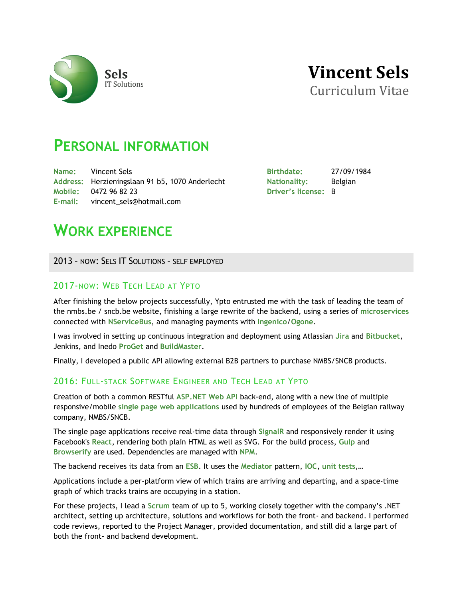



# **PERSONAL INFORMATION**

**Name:** Vincent Sels **Address:** Herzieningslaan 91 b5, 1070 Anderlecht **Mobile:** 0472 96 82 23 **E-mail:** vincent\_sels@hotmail.com

**Birthdate:** 27/09/1984 **Nationality:** Belgian **Driver's license:** B

# **WORK EXPERIENCE**

2013 – NOW: SELS IT SOLUTIONS – SELF EMPLOYED

# 2017-NOW: WEB TECH LEAD AT YPTO

After finishing the below projects successfully, Ypto entrusted me with the task of leading the team of the nmbs.be / sncb.be website, finishing a large rewrite of the backend, using a series of **microservices** connected with **NServiceBus**, and managing payments with **Ingenico**/**Ogone**.

I was involved in setting up continuous integration and deployment using Atlassian **Jira** and **Bitbucket**, Jenkins, and Inedo **ProGet** and **BuildMaster**.

Finally, I developed a public API allowing external B2B partners to purchase NMBS/SNCB products.

# 2016: FULL-STACK SOFTWARE ENGINEER AND TECH LEAD AT YPTO

Creation of both a common RESTful **ASP.NET Web API** back-end, along with a new line of multiple responsive/mobile **single page web applications** used by hundreds of employees of the Belgian railway company, NMBS/SNCB.

The single page applications receive real-time data through **SignalR** and responsively render it using Facebook's **React**, rendering both plain HTML as well as SVG. For the build process, **Gulp** and **Browserify** are used. Dependencies are managed with **NPM**.

The backend receives its data from an **ESB**. It uses the **Mediator** pattern, **IOC**, **unit tests**,…

Applications include a per-platform view of which trains are arriving and departing, and a space-time graph of which tracks trains are occupying in a station.

For these projects, I lead a **Scrum** team of up to 5, working closely together with the company's .NET architect, setting up architecture, solutions and workflows for both the front- and backend. I performed code reviews, reported to the Project Manager, provided documentation, and still did a large part of both the front- and backend development.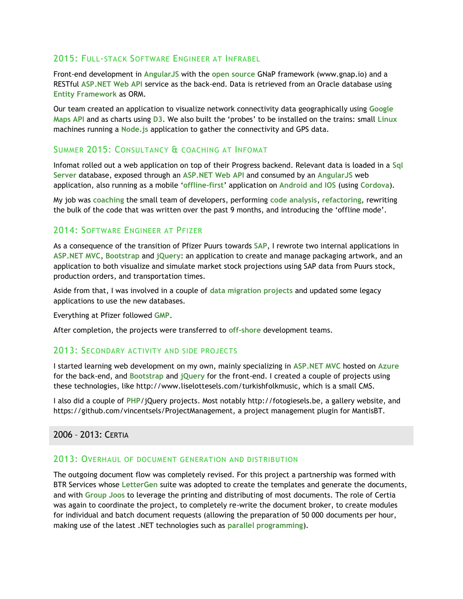# 2015: FULL-STACK SOFTWARE ENGINEER AT INFRABEL

Front-end development in **AngularJS** with the **open source** GNaP framework (www.gnap.io) and a RESTful **ASP.NET Web API** service as the back-end. Data is retrieved from an Oracle database using **Entity Framework** as ORM.

Our team created an application to visualize network connectivity data geographically using **Google Maps API** and as charts using **D3**. We also built the 'probes' to be installed on the trains: small **Linux** machines running a **Node.js** application to gather the connectivity and GPS data.

# SUMMER 2015: CONSULTANCY & COACHING AT INFOMAT

Infomat rolled out a web application on top of their Progress backend. Relevant data is loaded in a **Sql Server** database, exposed through an **ASP.NET Web API** and consumed by an **AngularJS** web application, also running as a mobile '**offline-first**' application on **Android and IOS** (using **Cordova**).

My job was **coaching** the small team of developers, performing **code analysis**, **refactoring**, rewriting the bulk of the code that was written over the past 9 months, and introducing the 'offline mode'.

# 2014: SOFTWARE ENGINEER AT PFIZER

As a consequence of the transition of Pfizer Puurs towards **SAP**, I rewrote two internal applications in **ASP.NET MVC**, **Bootstrap** and **jQuery**: an application to create and manage packaging artwork, and an application to both visualize and simulate market stock projections using SAP data from Puurs stock, production orders, and transportation times.

Aside from that, I was involved in a couple of **data migration projects** and updated some legacy applications to use the new databases.

Everything at Pfizer followed **GMP**.

After completion, the projects were transferred to **off-shore** development teams.

## 2013: SECONDARY ACTIVITY AND SIDE PROJECTS

I started learning web development on my own, mainly specializing in **ASP.NET MVC** hosted on **Azure** for the back-end, and **Bootstrap** and **jQuery** for the front-end. I created a couple of projects using these technologies, like http://www.liselottesels.com/turkishfolkmusic, which is a small CMS.

I also did a couple of **PHP**/jQuery projects. Most notably http://fotogiesels.be, a gallery website, and https://github.com/vincentsels/ProjectManagement, a project management plugin for MantisBT.

2006 – 2013: CERTIA

## 2013: OVERHAUL OF DOCUMENT GENERATION AND DISTRIBUTION

The outgoing document flow was completely revised. For this project a partnership was formed with BTR Services whose **LetterGen** suite was adopted to create the templates and generate the documents, and with **Group Joos** to leverage the printing and distributing of most documents. The role of Certia was again to coordinate the project, to completely re-write the document broker, to create modules for individual and batch document requests (allowing the preparation of 50 000 documents per hour, making use of the latest .NET technologies such as **parallel programming**).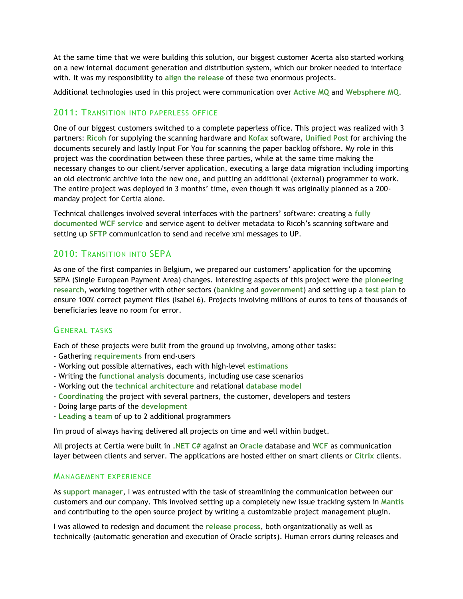At the same time that we were building this solution, our biggest customer Acerta also started working on a new internal document generation and distribution system, which our broker needed to interface with. It was my responsibility to **align the release** of these two enormous projects.

Additional technologies used in this project were communication over **Active MQ** and **Websphere MQ**.

# 2011: TRANSITION INTO PAPERLESS OFFICE

One of our biggest customers switched to a complete paperless office. This project was realized with 3 partners: **Ricoh** for supplying the scanning hardware and **Kofax** software, **Unified Post** for archiving the documents securely and lastly Input For You for scanning the paper backlog offshore. My role in this project was the coordination between these three parties, while at the same time making the necessary changes to our client/server application, executing a large data migration including importing an old electronic archive into the new one, and putting an additional (external) programmer to work. The entire project was deployed in 3 months' time, even though it was originally planned as a 200 manday project for Certia alone.

Technical challenges involved several interfaces with the partners' software: creating a **fully documented WCF service** and service agent to deliver metadata to Ricoh's scanning software and setting up **SFTP** communication to send and receive xml messages to UP.

# 2010: TRANSITION INTO SEPA

As one of the first companies in Belgium, we prepared our customers' application for the upcoming SEPA (Single European Payment Area) changes. Interesting aspects of this project were the **pioneering research**, working together with other sectors (**banking** and **government**) and setting up a **test plan** to ensure 100% correct payment files (Isabel 6). Projects involving millions of euros to tens of thousands of beneficiaries leave no room for error.

# GENERAL TASKS

Each of these projects were built from the ground up involving, among other tasks:

- Gathering **requirements** from end-users
- Working out possible alternatives, each with high-level **estimations**
- Writing the **functional analysis** documents, including use case scenarios
- Working out the **technical architecture** and relational **database model**
- **Coordinating** the project with several partners, the customer, developers and testers
- Doing large parts of the **development**
- **Leading** a **team** of up to 2 additional programmers

I'm proud of always having delivered all projects on time and well within budget.

All projects at Certia were built in **.NET C#** against an **Oracle** database and **WCF** as communication layer between clients and server. The applications are hosted either on smart clients or Citrix clients.

# MANAGEMENT EXPERIENCE

As **support manager**, I was entrusted with the task of streamlining the communication between our customers and our company. This involved setting up a completely new issue tracking system in **Mantis** and contributing to the open source project by writing a customizable project management plugin.

I was allowed to redesign and document the **release process**, both organizationally as well as technically (automatic generation and execution of Oracle scripts). Human errors during releases and